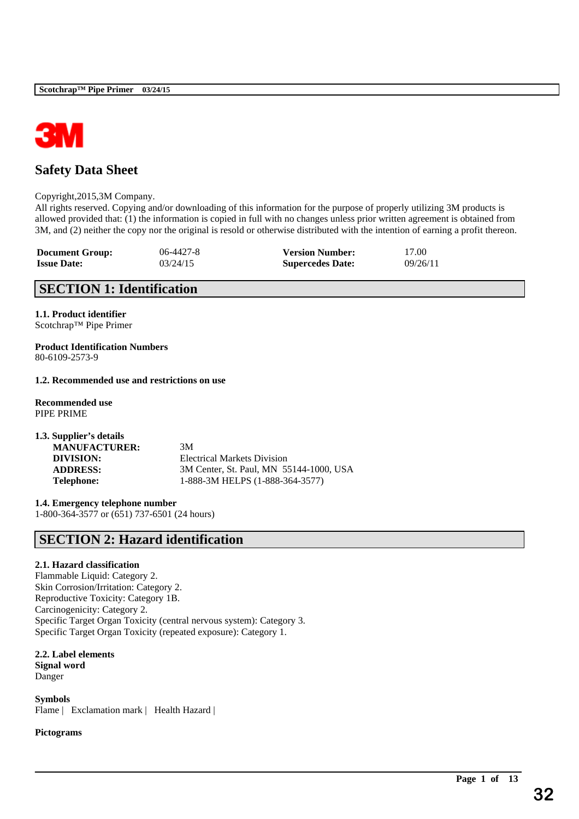

# **Safety Data Sheet**

### Copyright,2015,3M Company.

All rights reserved. Copying and/or downloading of this information for the purpose of properly utilizing 3M products is allowed provided that: (1) the information is copied in full with no changes unless prior written agreement is obtained from 3M, and (2) neither the copy nor the original is resold or otherwise distributed with the intention of earning a profit thereon.

\_\_\_\_\_\_\_\_\_\_\_\_\_\_\_\_\_\_\_\_\_\_\_\_\_\_\_\_\_\_\_\_\_\_\_\_\_\_\_\_\_\_\_\_\_\_\_\_\_\_\_\_\_\_\_\_\_\_\_\_\_\_\_\_\_\_\_\_\_\_\_\_\_\_\_\_\_\_\_\_\_\_\_\_\_\_\_\_\_\_

| <b>Document Group:</b> | 06-4427-8 | <b>Version Number:</b>  | 17.00    |
|------------------------|-----------|-------------------------|----------|
| <b>Issue Date:</b>     | 03/24/15  | <b>Supercedes Date:</b> | 09/26/11 |

# **SECTION 1: Identification**

**1.1. Product identifier** Scotchrap™ Pipe Primer

**Product Identification Numbers** 80-6109-2573-9

# **1.2. Recommended use and restrictions on use**

**Recommended use** PIPE PRIME

| 3M                                      |
|-----------------------------------------|
| <b>Electrical Markets Division</b>      |
| 3M Center, St. Paul, MN 55144-1000, USA |
| 1-888-3M HELPS (1-888-364-3577)         |
|                                         |

**1.4. Emergency telephone number** 1-800-364-3577 or (651) 737-6501 (24 hours)

# **SECTION 2: Hazard identification**

# **2.1. Hazard classification**

Flammable Liquid: Category 2. Skin Corrosion/Irritation: Category 2. Reproductive Toxicity: Category 1B. Carcinogenicity: Category 2. Specific Target Organ Toxicity (central nervous system): Category 3. Specific Target Organ Toxicity (repeated exposure): Category 1.

**2.2. Label elements**

**Signal word** Danger

**Symbols** Flame | Exclamation mark | Health Hazard |

**Pictograms**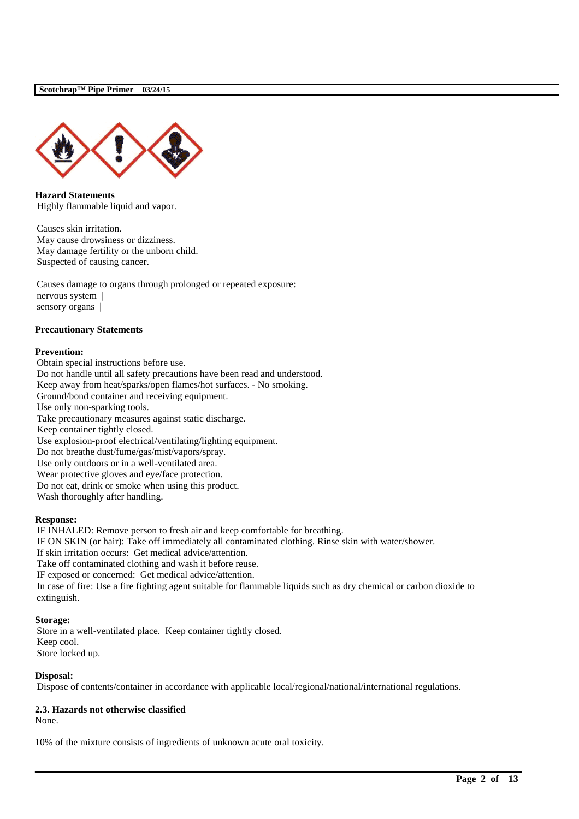

**Hazard Statements** Highly flammable liquid and vapor.

Causes skin irritation. May cause drowsiness or dizziness. May damage fertility or the unborn child. Suspected of causing cancer.

Causes damage to organs through prolonged or repeated exposure: nervous system | sensory organs |

#### **Precautionary Statements**

#### **Prevention:**

Obtain special instructions before use. Do not handle until all safety precautions have been read and understood. Keep away from heat/sparks/open flames/hot surfaces. - No smoking. Ground/bond container and receiving equipment. Use only non-sparking tools. Take precautionary measures against static discharge. Keep container tightly closed. Use explosion-proof electrical/ventilating/lighting equipment. Do not breathe dust/fume/gas/mist/vapors/spray. Use only outdoors or in a well-ventilated area. Wear protective gloves and eye/face protection. Do not eat, drink or smoke when using this product. Wash thoroughly after handling.

#### **Response:**

IF INHALED: Remove person to fresh air and keep comfortable for breathing. IF ON SKIN (or hair): Take off immediately all contaminated clothing. Rinse skin with water/shower. If skin irritation occurs: Get medical advice/attention. Take off contaminated clothing and wash it before reuse. IF exposed or concerned: Get medical advice/attention. In case of fire: Use a fire fighting agent suitable for flammable liquids such as dry chemical or carbon dioxide to extinguish.

#### **Storage:**

Store in a well-ventilated place. Keep container tightly closed. Keep cool. Store locked up.

# **Disposal:**

Dispose of contents/container in accordance with applicable local/regional/national/international regulations.

\_\_\_\_\_\_\_\_\_\_\_\_\_\_\_\_\_\_\_\_\_\_\_\_\_\_\_\_\_\_\_\_\_\_\_\_\_\_\_\_\_\_\_\_\_\_\_\_\_\_\_\_\_\_\_\_\_\_\_\_\_\_\_\_\_\_\_\_\_\_\_\_\_\_\_\_\_\_\_\_\_\_\_\_\_\_\_\_\_\_

# **2.3. Hazards not otherwise classified**

None.

10% of the mixture consists of ingredients of unknown acute oral toxicity.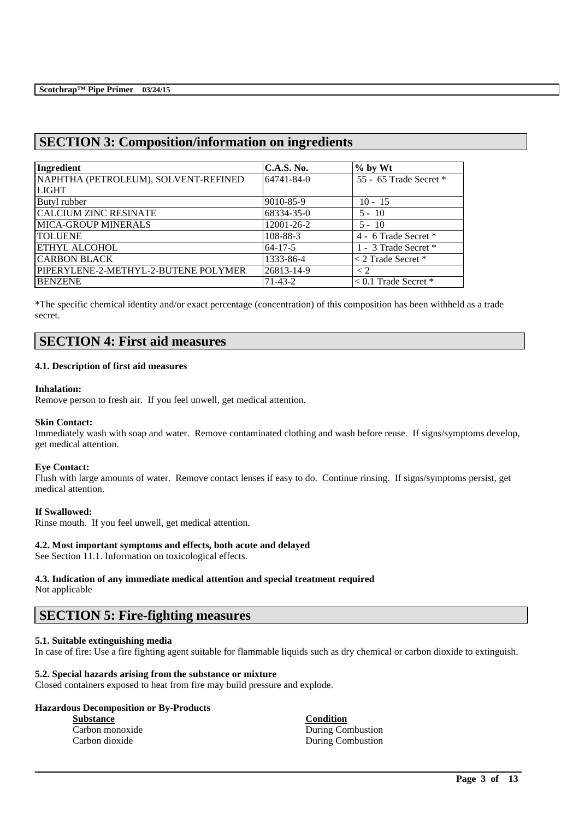# **SECTION 3: Composition/information on ingredients**

| Ingredient                           | <b>C.A.S. No.</b> | $%$ by Wt              |
|--------------------------------------|-------------------|------------------------|
| NAPHTHA (PETROLEUM), SOLVENT-REFINED | 64741-84-0        | 55 - 65 Trade Secret * |
| <b>LIGHT</b>                         |                   |                        |
| Butyl rubber                         | 9010-85-9         | $10 - 15$              |
| <b>CALCIUM ZINC RESINATE</b>         | 68334-35-0        | $5 - 10$               |
| <b>MICA-GROUP MINERALS</b>           | 12001-26-2        | $5 - 10$               |
| <b>TOLUENE</b>                       | 108-88-3          | 4 - 6 Trade Secret *   |
| <b>ETHYL ALCOHOL</b>                 | $64 - 17 - 5$     | 1 - 3 Trade Secret *   |
| <b>CARBON BLACK</b>                  | 1333-86-4         | $<$ 2 Trade Secret $*$ |
| PIPERYLENE-2-METHYL-2-BUTENE POLYMER | 26813-14-9        | $\lt 2$                |
| <b>BENZENE</b>                       | $71 - 43 - 2$     | $< 0.1$ Trade Secret * |

\*The specific chemical identity and/or exact percentage (concentration) of this composition has been withheld as a trade secret.

# **SECTION 4: First aid measures**

#### **4.1. Description of first aid measures**

#### **Inhalation:**

Remove person to fresh air. If you feel unwell, get medical attention.

### **Skin Contact:**

Immediately wash with soap and water. Remove contaminated clothing and wash before reuse. If signs/symptoms develop, get medical attention.

#### **Eye Contact:**

Flush with large amounts of water. Remove contact lenses if easy to do. Continue rinsing. If signs/symptoms persist, get medical attention.

### **If Swallowed:**

Rinse mouth. If you feel unwell, get medical attention.

#### **4.2. Most important symptoms and effects, both acute and delayed**

See Section 11.1. Information on toxicological effects.

# **4.3. Indication of any immediate medical attention and special treatment required**

Not applicable

# **SECTION 5: Fire-fighting measures**

# **5.1. Suitable extinguishing media**

In case of fire: Use a fire fighting agent suitable for flammable liquids such as dry chemical or carbon dioxide to extinguish.

\_\_\_\_\_\_\_\_\_\_\_\_\_\_\_\_\_\_\_\_\_\_\_\_\_\_\_\_\_\_\_\_\_\_\_\_\_\_\_\_\_\_\_\_\_\_\_\_\_\_\_\_\_\_\_\_\_\_\_\_\_\_\_\_\_\_\_\_\_\_\_\_\_\_\_\_\_\_\_\_\_\_\_\_\_\_\_\_\_\_

### **5.2. Special hazards arising from the substance or mixture**

Closed containers exposed to heat from fire may build pressure and explode.

# **Hazardous Decomposition or By-Products**

| <b>Substance</b> | <b>Condition</b>  |
|------------------|-------------------|
| Carbon monoxide  | During Combustion |
| Carbon dioxide   | During Combustion |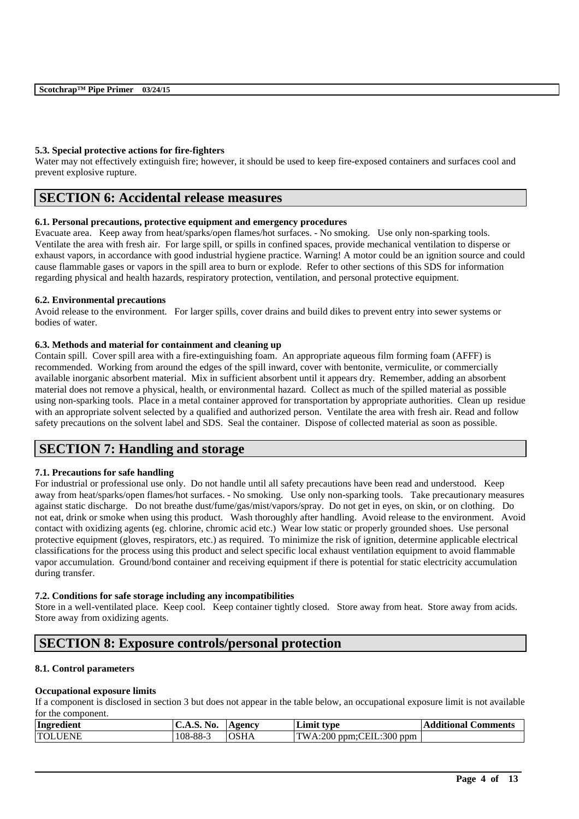# **5.3. Special protective actions for fire-fighters**

Water may not effectively extinguish fire; however, it should be used to keep fire-exposed containers and surfaces cool and prevent explosive rupture.

# **SECTION 6: Accidental release measures**

# **6.1. Personal precautions, protective equipment and emergency procedures**

Evacuate area. Keep away from heat/sparks/open flames/hot surfaces. - No smoking. Use only non-sparking tools. Ventilate the area with fresh air. For large spill, or spills in confined spaces, provide mechanical ventilation to disperse or exhaust vapors, in accordance with good industrial hygiene practice. Warning! A motor could be an ignition source and could cause flammable gases or vapors in the spill area to burn or explode. Refer to other sections of this SDS for information regarding physical and health hazards, respiratory protection, ventilation, and personal protective equipment.

# **6.2. Environmental precautions**

Avoid release to the environment. For larger spills, cover drains and build dikes to prevent entry into sewer systems or bodies of water.

# **6.3. Methods and material for containment and cleaning up**

Contain spill. Cover spill area with a fire-extinguishing foam. An appropriate aqueous film forming foam (AFFF) is recommended. Working from around the edges of the spill inward, cover with bentonite, vermiculite, or commercially available inorganic absorbent material. Mix in sufficient absorbent until it appears dry. Remember, adding an absorbent material does not remove a physical, health, or environmental hazard. Collect as much of the spilled material as possible using non-sparking tools. Place in a metal container approved for transportation by appropriate authorities. Clean up residue with an appropriate solvent selected by a qualified and authorized person. Ventilate the area with fresh air. Read and follow safety precautions on the solvent label and SDS. Seal the container. Dispose of collected material as soon as possible.

# **SECTION 7: Handling and storage**

# **7.1. Precautions for safe handling**

For industrial or professional use only. Do not handle until all safety precautions have been read and understood. Keep away from heat/sparks/open flames/hot surfaces. - No smoking. Use only non-sparking tools. Take precautionary measures against static discharge. Do not breathe dust/fume/gas/mist/vapors/spray. Do not get in eyes, on skin, or on clothing. Do not eat, drink or smoke when using this product. Wash thoroughly after handling. Avoid release to the environment. Avoid contact with oxidizing agents (eg. chlorine, chromic acid etc.) Wear low static or properly grounded shoes. Use personal protective equipment (gloves, respirators, etc.) as required. To minimize the risk of ignition, determine applicable electrical classifications for the process using this product and select specific local exhaust ventilation equipment to avoid flammable vapor accumulation. Ground/bond container and receiving equipment if there is potential for static electricity accumulation during transfer.

# **7.2. Conditions for safe storage including any incompatibilities**

Store in a well-ventilated place. Keep cool. Keep container tightly closed. Store away from heat. Store away from acids. Store away from oxidizing agents.

# **SECTION 8: Exposure controls/personal protection**

# **8.1. Control parameters**

# **Occupational exposure limits**

If a component is disclosed in section 3 but does not appear in the table below, an occupational exposure limit is not available for the component.

| Ingredient                 | NO.<br>$\mathbf{C.A.5.}$ | Agency | Limit type                              | <b>Aditional C</b><br>Comments<br>$\overline{A}$ |
|----------------------------|--------------------------|--------|-----------------------------------------|--------------------------------------------------|
| <b>TOLL</b><br><b>UENE</b> | 108-88-3                 | OSHA   | VA:200 ppm:CEIL:300<br><b>TW</b><br>bpm |                                                  |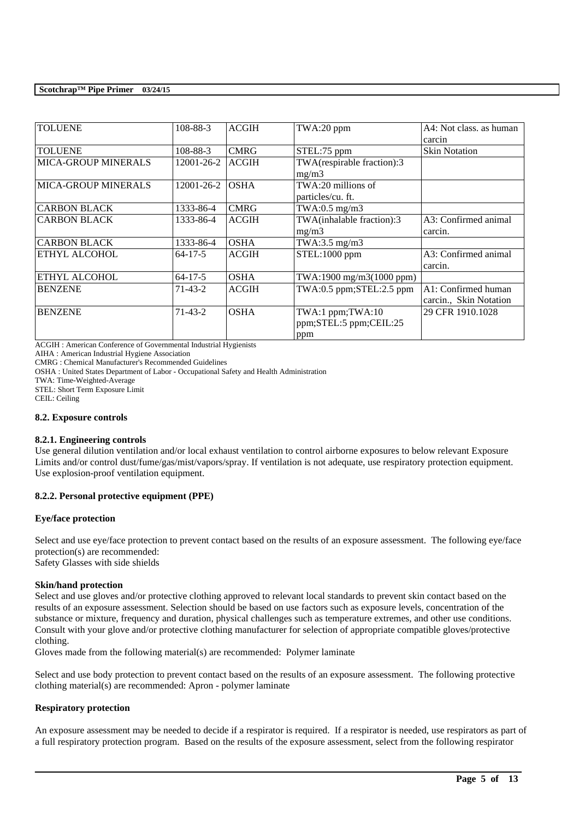| <b>TOLUENE</b>             | 108-88-3      | <b>ACGIH</b> | TWA:20 ppm                                     | A4: Not class, as human |
|----------------------------|---------------|--------------|------------------------------------------------|-------------------------|
|                            |               |              |                                                |                         |
|                            |               |              |                                                | carcin                  |
| <b>TOLUENE</b>             | 108-88-3      | <b>CMRG</b>  | STEL:75 ppm                                    | <b>Skin Notation</b>    |
| <b>MICA-GROUP MINERALS</b> | 12001-26-2    | <b>ACGIH</b> | TWA(respirable fraction):3                     |                         |
|                            |               |              | mg/m3                                          |                         |
| <b>MICA-GROUP MINERALS</b> | 12001-26-2    | <b>OSHA</b>  | TWA:20 millions of                             |                         |
|                            |               |              | particles/cu. ft.                              |                         |
| <b>CARBON BLACK</b>        | 1333-86-4     | <b>CMRG</b>  | TWA:0.5 mg/m3                                  |                         |
| <b>CARBON BLACK</b>        | 1333-86-4     | <b>ACGIH</b> | $\overline{\text{TW}}$ A(inhalable fraction):3 | A3: Confirmed animal    |
|                            |               |              | mg/m3                                          | carcin.                 |
| <b>CARBON BLACK</b>        | 1333-86-4     | <b>OSHA</b>  | TWA:3.5 $mg/m3$                                |                         |
| ETHYL ALCOHOL              | $64 - 17 - 5$ | <b>ACGIH</b> | STEL:1000 ppm                                  | A3: Confirmed animal    |
|                            |               |              |                                                | carcin.                 |
| ETHYL ALCOHOL              | $64 - 17 - 5$ | <b>OSHA</b>  | TWA:1900 mg/m3(1000 ppm)                       |                         |
| <b>BENZENE</b>             | $71 - 43 - 2$ | <b>ACGIH</b> | TWA:0.5 ppm;STEL:2.5 ppm                       | A1: Confirmed human     |
|                            |               |              |                                                | carcin., Skin Notation  |
| <b>BENZENE</b>             | $71 - 43 - 2$ | <b>OSHA</b>  | TWA:1 ppm;TWA:10                               | 29 CFR 1910.1028        |
|                            |               |              | ppm;STEL:5 ppm;CEIL:25                         |                         |
|                            |               |              | ppm                                            |                         |

ACGIH : American Conference of Governmental Industrial Hygienists

AIHA : American Industrial Hygiene Association

CMRG : Chemical Manufacturer's Recommended Guidelines

OSHA : United States Department of Labor - Occupational Safety and Health Administration

TWA: Time-Weighted-Average

STEL: Short Term Exposure Limit

CEIL: Ceiling

#### **8.2. Exposure controls**

# **8.2.1. Engineering controls**

Use general dilution ventilation and/or local exhaust ventilation to control airborne exposures to below relevant Exposure Limits and/or control dust/fume/gas/mist/vapors/spray. If ventilation is not adequate, use respiratory protection equipment. Use explosion-proof ventilation equipment.

# **8.2.2. Personal protective equipment (PPE)**

# **Eye/face protection**

Select and use eve/face protection to prevent contact based on the results of an exposure assessment. The following eve/face protection(s) are recommended: Safety Glasses with side shields

# **Skin/hand protection**

Select and use gloves and/or protective clothing approved to relevant local standards to prevent skin contact based on the results of an exposure assessment. Selection should be based on use factors such as exposure levels, concentration of the substance or mixture, frequency and duration, physical challenges such as temperature extremes, and other use conditions. Consult with your glove and/or protective clothing manufacturer for selection of appropriate compatible gloves/protective clothing.

Gloves made from the following material(s) are recommended: Polymer laminate

Select and use body protection to prevent contact based on the results of an exposure assessment. The following protective clothing material(s) are recommended: Apron - polymer laminate

# **Respiratory protection**

An exposure assessment may be needed to decide if a respirator is required. If a respirator is needed, use respirators as part of a full respiratory protection program. Based on the results of the exposure assessment, select from the following respirator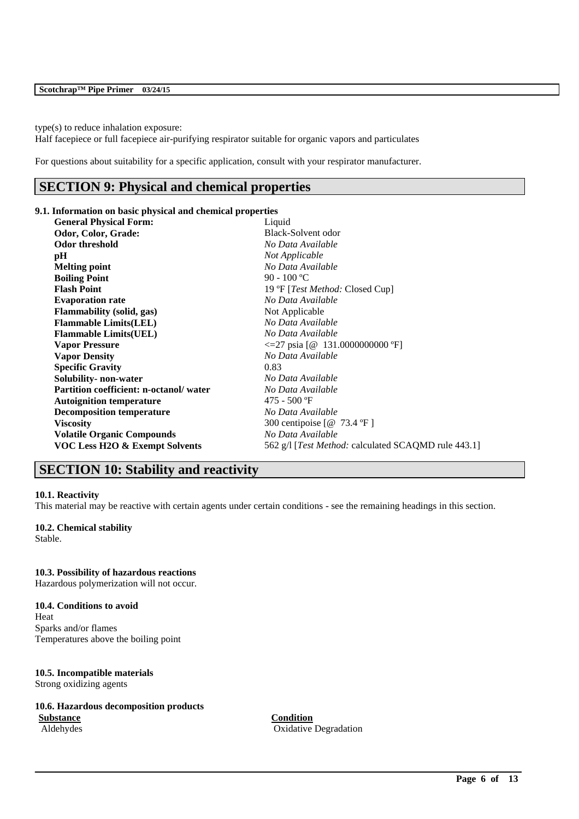type(s) to reduce inhalation exposure:

Half facepiece or full facepiece air-purifying respirator suitable for organic vapors and particulates

For questions about suitability for a specific application, consult with your respirator manufacturer.

# **SECTION 9: Physical and chemical properties**

#### **9.1. Information on basic physical and chemical properties**

| <b>General Physical Form:</b>                 | Liquid                                                      |
|-----------------------------------------------|-------------------------------------------------------------|
| Odor, Color, Grade:                           | Black-Solvent odor                                          |
| Odor threshold                                | No Data Available                                           |
| pН                                            | Not Applicable                                              |
| <b>Melting point</b>                          | No Data Available                                           |
| <b>Boiling Point</b>                          | 90 - 100 °C                                                 |
| <b>Flash Point</b>                            | 19 °F [ <i>Test Method:</i> Closed Cup]                     |
| <b>Evaporation rate</b>                       | No Data Available                                           |
| <b>Flammability</b> (solid, gas)              | Not Applicable                                              |
| <b>Flammable Limits(LEL)</b>                  | No Data Available                                           |
| <b>Flammable Limits(UEL)</b>                  | No Data Available                                           |
| <b>Vapor Pressure</b>                         | $\leq$ =27 psia [@ 131.0000000000 °F]                       |
| <b>Vapor Density</b>                          | No Data Available                                           |
| <b>Specific Gravity</b>                       | 0.83                                                        |
| Solubility- non-water                         | No Data Available                                           |
| <b>Partition coefficient: n-octanol/water</b> | No Data Available                                           |
| <b>Autoignition temperature</b>               | $475 - 500$ °F                                              |
| <b>Decomposition temperature</b>              | No Data Available                                           |
| <b>Viscosity</b>                              | 300 centipoise [@ 73.4 °F]                                  |
| <b>Volatile Organic Compounds</b>             | No Data Available                                           |
| VOC Less H2O & Exempt Solvents                | 562 g/l [ <i>Test Method:</i> calculated SCAQMD rule 443.1] |

# **SECTION 10: Stability and reactivity**

# **10.1. Reactivity**

This material may be reactive with certain agents under certain conditions - see the remaining headings in this section.

# **10.2. Chemical stability**

Stable.

#### **10.3. Possibility of hazardous reactions**

Hazardous polymerization will not occur.

#### **10.4. Conditions to avoid**

Heat Sparks and/or flames Temperatures above the boiling point

# **10.5. Incompatible materials**

Strong oxidizing agents

### **10.6. Hazardous decomposition products Substance Condition**

Aldehydes Oxidative Degradation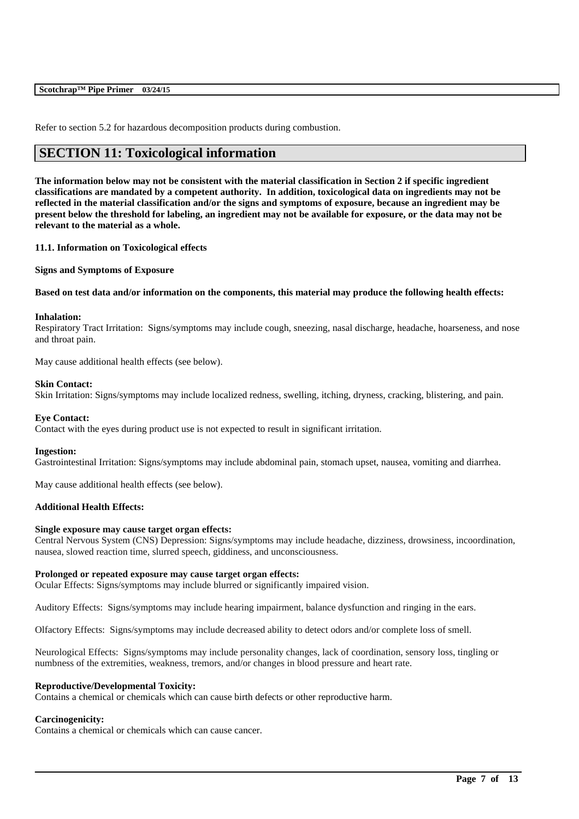| Scotchrap™ Pipe Primer 03/24/15 |  |
|---------------------------------|--|
|---------------------------------|--|

Refer to section 5.2 for hazardous decomposition products during combustion.

# **SECTION 11: Toxicological information**

**The information below may not be consistent with the material classification in Section 2 if specific ingredient classifications are mandated by a competent authority. In addition, toxicological data on ingredients may not be reflected in the material classification and/or the signs and symptoms of exposure, because an ingredient may be present below the threshold for labeling, an ingredient may not be available for exposure, or the data may not be relevant to the material as a whole.**

#### **11.1. Information on Toxicological effects**

**Signs and Symptoms of Exposure**

### **Based on test data and/or information on the components, this material may produce the following health effects:**

#### **Inhalation:**

Respiratory Tract Irritation: Signs/symptoms may include cough, sneezing, nasal discharge, headache, hoarseness, and nose and throat pain.

May cause additional health effects (see below).

#### **Skin Contact:**

Skin Irritation: Signs/symptoms may include localized redness, swelling, itching, dryness, cracking, blistering, and pain.

# **Eye Contact:**

Contact with the eyes during product use is not expected to result in significant irritation.

#### **Ingestion:**

Gastrointestinal Irritation: Signs/symptoms may include abdominal pain, stomach upset, nausea, vomiting and diarrhea.

May cause additional health effects (see below).

# **Additional Health Effects:**

#### **Single exposure may cause target organ effects:**

Central Nervous System (CNS) Depression: Signs/symptoms may include headache, dizziness, drowsiness, incoordination, nausea, slowed reaction time, slurred speech, giddiness, and unconsciousness.

#### **Prolonged or repeated exposure may cause target organ effects:**

Ocular Effects: Signs/symptoms may include blurred or significantly impaired vision.

Auditory Effects: Signs/symptoms may include hearing impairment, balance dysfunction and ringing in the ears.

Olfactory Effects: Signs/symptoms may include decreased ability to detect odors and/or complete loss of smell.

Neurological Effects: Signs/symptoms may include personality changes, lack of coordination, sensory loss, tingling or numbness of the extremities, weakness, tremors, and/or changes in blood pressure and heart rate.

\_\_\_\_\_\_\_\_\_\_\_\_\_\_\_\_\_\_\_\_\_\_\_\_\_\_\_\_\_\_\_\_\_\_\_\_\_\_\_\_\_\_\_\_\_\_\_\_\_\_\_\_\_\_\_\_\_\_\_\_\_\_\_\_\_\_\_\_\_\_\_\_\_\_\_\_\_\_\_\_\_\_\_\_\_\_\_\_\_\_

#### **Reproductive/Developmental Toxicity:**

Contains a chemical or chemicals which can cause birth defects or other reproductive harm.

#### **Carcinogenicity:**

Contains a chemical or chemicals which can cause cancer.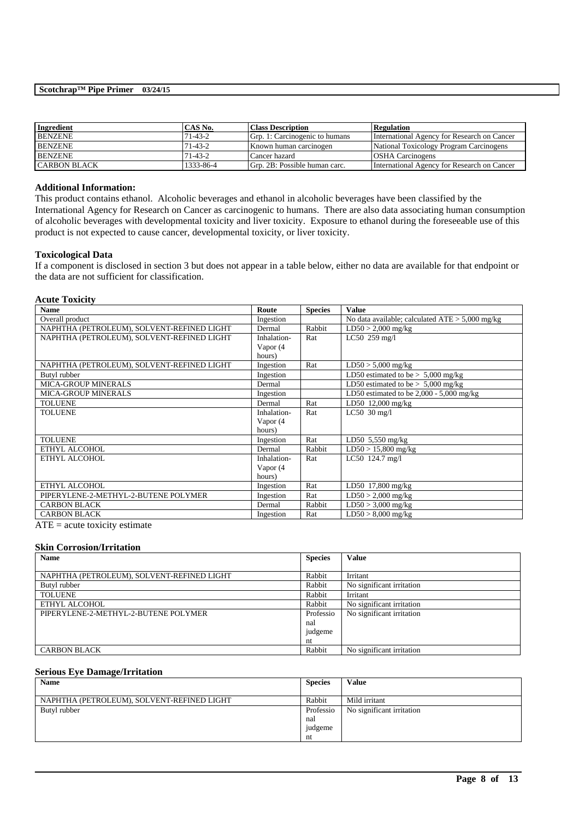| <b>Ingredient</b>   | CAS No.   | <b>Class Description</b>       | <b>Regulation</b>                           |
|---------------------|-----------|--------------------------------|---------------------------------------------|
| <b>BENZENE</b>      | 71-43-2   | Grp. 1: Carcinogenic to humans | International Agency for Research on Cancer |
| <b>BENZENE</b>      | 71-43-2   | Known human carcinogen         | National Toxicology Program Carcinogens     |
| <b>BENZENE</b>      | $71-43-2$ | Cancer hazard                  | <b>OSHA</b> Carcinogens                     |
| <b>CARBON BLACK</b> | 1333-86-4 | Grp. 2B: Possible human carc.  | International Agency for Research on Cancer |

#### **Additional Information:**

This product contains ethanol. Alcoholic beverages and ethanol in alcoholic beverages have been classified by the International Agency for Research on Cancer as carcinogenic to humans. There are also data associating human consumption of alcoholic beverages with developmental toxicity and liver toxicity. Exposure to ethanol during the foreseeable use of this product is not expected to cause cancer, developmental toxicity, or liver toxicity.

#### **Toxicological Data**

If a component is disclosed in section 3 but does not appear in a table below, either no data are available for that endpoint or the data are not sufficient for classification.

#### **Acute Toxicity**

| <b>Name</b>                                | Route       | <b>Species</b> | <b>Value</b>                                      |
|--------------------------------------------|-------------|----------------|---------------------------------------------------|
| Overall product                            | Ingestion   |                | No data available; calculated $ATE > 5,000$ mg/kg |
| NAPHTHA (PETROLEUM), SOLVENT-REFINED LIGHT | Dermal      | Rabbit         | $LD50 > 2,000$ mg/kg                              |
| NAPHTHA (PETROLEUM), SOLVENT-REFINED LIGHT | Inhalation- | Rat            | LC50 259 mg/l                                     |
|                                            | Vapor (4    |                |                                                   |
|                                            | hours)      |                |                                                   |
| NAPHTHA (PETROLEUM), SOLVENT-REFINED LIGHT | Ingestion   | Rat            | $LD50 > 5,000$ mg/kg                              |
| Butyl rubber                               | Ingestion   |                | LD50 estimated to be $> 5,000$ mg/kg              |
| <b>MICA-GROUP MINERALS</b>                 | Dermal      |                | LD50 estimated to be $> 5,000$ mg/kg              |
| <b>MICA-GROUP MINERALS</b>                 | Ingestion   |                | LD50 estimated to be $2,000 - 5,000$ mg/kg        |
| <b>TOLUENE</b>                             | Dermal      | Rat            | LD50 12,000 mg/kg                                 |
| <b>TOLUENE</b>                             | Inhalation- | Rat            | LC50 $30 \text{ mg/l}$                            |
|                                            | Vapor (4    |                |                                                   |
|                                            | hours)      |                |                                                   |
| <b>TOLUENE</b>                             | Ingestion   | Rat            | LD50 $5,550$ mg/kg                                |
| ETHYL ALCOHOL                              | Dermal      | Rabbit         | $LD50 > 15,800$ mg/kg                             |
| ETHYL ALCOHOL                              | Inhalation- | Rat            | LC50 124.7 mg/l                                   |
|                                            | Vapor (4    |                |                                                   |
|                                            | hours)      |                |                                                   |
| ETHYL ALCOHOL                              | Ingestion   | Rat            | LD50 17,800 mg/kg                                 |
| PIPERYLENE-2-METHYL-2-BUTENE POLYMER       | Ingestion   | Rat            | $LD50 > 2,000$ mg/kg                              |
| <b>CARBON BLACK</b>                        | Dermal      | Rabbit         | $LD50 > 3,000$ mg/kg                              |
| <b>CARBON BLACK</b>                        | Ingestion   | Rat            | $LD50 > 8,000$ mg/kg                              |

 $ATE = acute$  toxicity estimate

#### **Skin Corrosion/Irritation**

| <b>Name</b>                                | <b>Species</b> | <b>Value</b>              |
|--------------------------------------------|----------------|---------------------------|
|                                            |                |                           |
| NAPHTHA (PETROLEUM), SOLVENT-REFINED LIGHT | Rabbit         | Irritant                  |
| Butyl rubber                               | Rabbit         | No significant irritation |
| <b>TOLUENE</b>                             | Rabbit         | Irritant                  |
| ETHYL ALCOHOL                              | Rabbit         | No significant irritation |
| PIPERYLENE-2-METHYL-2-BUTENE POLYMER       | Professio      | No significant irritation |
|                                            | nal            |                           |
|                                            | judgeme        |                           |
|                                            | nt             |                           |
| <b>CARBON BLACK</b>                        | Rabbit         | No significant irritation |

#### **Serious Eye Damage/Irritation**

| <b>Name</b>                                | <b>Species</b> | <b>Value</b>              |
|--------------------------------------------|----------------|---------------------------|
|                                            |                |                           |
| NAPHTHA (PETROLEUM), SOLVENT-REFINED LIGHT | Rabbit         | Mild irritant             |
| Butyl rubber                               | Professio      | No significant irritation |
|                                            | nal            |                           |
|                                            | judgeme        |                           |
|                                            | nt             |                           |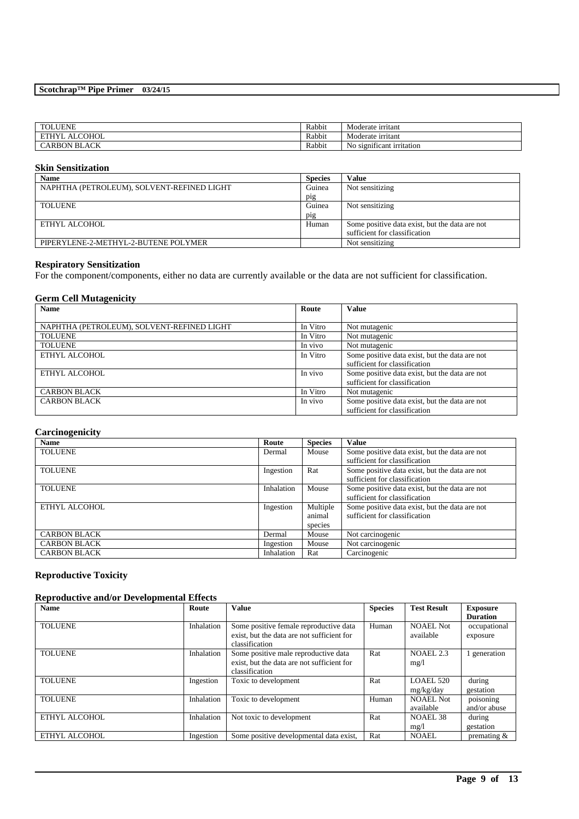| <b>TOLUENE</b>                                    | Rabbit | Moderate irritant                    |
|---------------------------------------------------|--------|--------------------------------------|
| <b>COHOL</b><br><b>ETHIVI</b><br>$\Delta$ T<br>`` | Rabbit | Moderate irritant                    |
| ، UL<br><b>CARBON BL</b><br>AUK                   | Rabbit | $\cdot$<br>No significant irritation |

### **Skin Sensitization**

| <b>Name</b>                                | <b>Species</b> | Value                                          |
|--------------------------------------------|----------------|------------------------------------------------|
| NAPHTHA (PETROLEUM), SOLVENT-REFINED LIGHT | Guinea         | Not sensitizing                                |
|                                            | pig            |                                                |
| <b>TOLUENE</b>                             | Guinea         | Not sensitizing                                |
|                                            | pig            |                                                |
| ETHYL ALCOHOL                              | Human          | Some positive data exist, but the data are not |
|                                            |                | sufficient for classification                  |
| PIPERYLENE-2-METHYL-2-BUTENE POLYMER       |                | Not sensitizing                                |

# **Respiratory Sensitization**

For the component/components, either no data are currently available or the data are not sufficient for classification.

# **Germ Cell Mutagenicity**

| Name                                       | Route    | <b>Value</b>                                   |
|--------------------------------------------|----------|------------------------------------------------|
|                                            |          |                                                |
| NAPHTHA (PETROLEUM), SOLVENT-REFINED LIGHT | In Vitro | Not mutagenic                                  |
| <b>TOLUENE</b>                             | In Vitro | Not mutagenic                                  |
| <b>TOLUENE</b>                             | In vivo  | Not mutagenic                                  |
| ETHYL ALCOHOL                              | In Vitro | Some positive data exist, but the data are not |
|                                            |          | sufficient for classification                  |
| ETHYL ALCOHOL                              | In vivo  | Some positive data exist, but the data are not |
|                                            |          | sufficient for classification                  |
| <b>CARBON BLACK</b>                        | In Vitro | Not mutagenic                                  |
| <b>CARBON BLACK</b>                        | In vivo  | Some positive data exist, but the data are not |
|                                            |          | sufficient for classification                  |

# **Carcinogenicity**

| <b>Name</b>         | Route      | <b>Species</b> | <b>Value</b>                                   |
|---------------------|------------|----------------|------------------------------------------------|
| <b>TOLUENE</b>      | Dermal     | Mouse          | Some positive data exist, but the data are not |
|                     |            |                | sufficient for classification                  |
| <b>TOLUENE</b>      | Ingestion  | Rat            | Some positive data exist, but the data are not |
|                     |            |                | sufficient for classification                  |
| <b>TOLUENE</b>      | Inhalation | Mouse          | Some positive data exist, but the data are not |
|                     |            |                | sufficient for classification                  |
| ETHYL ALCOHOL       | Ingestion  | Multiple       | Some positive data exist, but the data are not |
|                     |            | animal         | sufficient for classification                  |
|                     |            | species        |                                                |
| <b>CARBON BLACK</b> | Dermal     | Mouse          | Not carcinogenic                               |
| <b>CARBON BLACK</b> | Ingestion  | Mouse          | Not carcinogenic                               |
| <b>CARBON BLACK</b> | Inhalation | Rat            | Carcinogenic                                   |

# **Reproductive Toxicity**

# **Reproductive and/or Developmental Effects**

| <b>Name</b>    | Route      | <b>Value</b>                               | <b>Species</b> | <b>Test Result</b> | <b>Exposure</b> |
|----------------|------------|--------------------------------------------|----------------|--------------------|-----------------|
|                |            |                                            |                |                    | <b>Duration</b> |
| <b>TOLUENE</b> | Inhalation | Some positive female reproductive data     | Human          | NOAEL Not          | occupational    |
|                |            | exist, but the data are not sufficient for |                | available          | exposure        |
|                |            | classification                             |                |                    |                 |
| <b>TOLUENE</b> | Inhalation | Some positive male reproductive data       | Rat            | NOAEL 2.3          | 1 generation    |
|                |            | exist, but the data are not sufficient for |                | mg/1               |                 |
|                |            | classification                             |                |                    |                 |
| <b>TOLUENE</b> | Ingestion  | Toxic to development                       | Rat            | LOAEL 520          | during          |
|                |            |                                            |                | mg/kg/day          | gestation       |
| <b>TOLUENE</b> | Inhalation | Toxic to development                       | Human          | <b>NOAEL Not</b>   | poisoning       |
|                |            |                                            |                | available          | and/or abuse    |
| ETHYL ALCOHOL  | Inhalation | Not toxic to development                   | Rat            | NOAEL 38           | during          |
|                |            |                                            |                | mg/l               | gestation       |
| ETHYL ALCOHOL  | Ingestion  | Some positive developmental data exist,    | Rat            | <b>NOAEL</b>       | premating $&$   |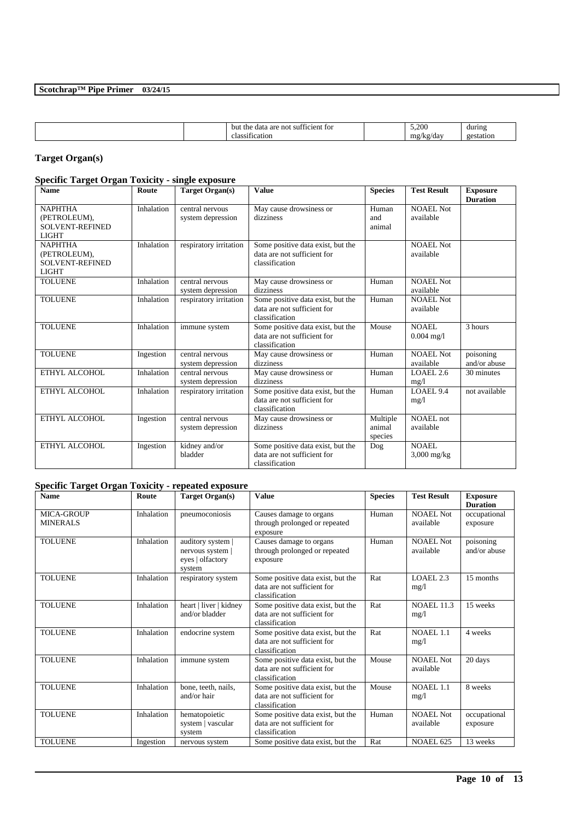| $-$<br>m <sub>5</sub><br>do,<br>$\alpha$<br>، د ا<br>- 1<br>Œ<br>ua)<br>. . |  |  | bu<br>aro<br>-чата<br>.,<br>ane |  | $\Delta \Omega$<br>- - | during |
|-----------------------------------------------------------------------------|--|--|---------------------------------|--|------------------------|--------|
|-----------------------------------------------------------------------------|--|--|---------------------------------|--|------------------------|--------|

# **Target Organ(s)**

# **Specific Target Organ Toxicity - single exposure**

| <b>Name</b>                                                              | Route      | <b>Target Organ(s)</b>               | <b>Value</b>                                                                       | <b>Species</b>                | <b>Test Result</b>            | <b>Exposure</b><br><b>Duration</b> |
|--------------------------------------------------------------------------|------------|--------------------------------------|------------------------------------------------------------------------------------|-------------------------------|-------------------------------|------------------------------------|
| <b>NAPHTHA</b><br>(PETROLEUM),<br><b>SOLVENT-REFINED</b><br><b>LIGHT</b> | Inhalation | central nervous<br>system depression | May cause drowsiness or<br>dizziness                                               | Human<br>and<br>animal        | NOAEL Not<br>available        |                                    |
| <b>NAPHTHA</b><br>(PETROLEUM),<br><b>SOLVENT-REFINED</b><br><b>LIGHT</b> | Inhalation | respiratory irritation               | Some positive data exist, but the<br>data are not sufficient for<br>classification |                               | NOAEL Not<br>available        |                                    |
| <b>TOLUENE</b>                                                           | Inhalation | central nervous<br>system depression | May cause drowsiness or<br>dizziness                                               | Human                         | NOAEL Not<br>available        |                                    |
| <b>TOLUENE</b>                                                           | Inhalation | respiratory irritation               | Some positive data exist, but the<br>data are not sufficient for<br>classification | Human                         | <b>NOAEL Not</b><br>available |                                    |
| <b>TOLUENE</b>                                                           | Inhalation | immune system                        | Some positive data exist, but the<br>data are not sufficient for<br>classification | Mouse                         | NOAEL.<br>$0.004$ mg/l        | 3 hours                            |
| <b>TOLUENE</b>                                                           | Ingestion  | central nervous<br>system depression | May cause drowsiness or<br>dizziness                                               | Human                         | <b>NOAEL Not</b><br>available | poisoning<br>and/or abuse          |
| ETHYL ALCOHOL                                                            | Inhalation | central nervous<br>system depression | May cause drowsiness or<br>dizziness                                               | Human                         | LOAEL 2.6<br>mg/l             | 30 minutes                         |
| ETHYL ALCOHOL                                                            | Inhalation | respiratory irritation               | Some positive data exist, but the<br>data are not sufficient for<br>classification | Human                         | LOAEL 9.4<br>mg/1             | not available                      |
| ETHYL ALCOHOL                                                            | Ingestion  | central nervous<br>system depression | May cause drowsiness or<br>dizziness                                               | Multiple<br>animal<br>species | NOAEL not<br>available        |                                    |
| ETHYL ALCOHOL                                                            | Ingestion  | kidney and/or<br>bladder             | Some positive data exist, but the<br>data are not sufficient for<br>classification | Dog                           | NOAEL.<br>$3,000$ mg/kg       |                                    |

# **Specific Target Organ Toxicity - repeated exposure**

| <b>Name</b>                          | Route      | Target Organ(s)                                                   | <b>Value</b>                                                                       | <b>Species</b> | <b>Test Result</b>            | <b>Exposure</b><br><b>Duration</b> |
|--------------------------------------|------------|-------------------------------------------------------------------|------------------------------------------------------------------------------------|----------------|-------------------------------|------------------------------------|
| <b>MICA-GROUP</b><br><b>MINERALS</b> | Inhalation | pneumoconiosis                                                    | Causes damage to organs<br>through prolonged or repeated<br>exposure               | Human          | <b>NOAEL Not</b><br>available | occupational<br>exposure           |
| <b>TOLUENE</b>                       | Inhalation | auditory system<br>nervous system  <br>eyes   olfactory<br>system | Causes damage to organs<br>through prolonged or repeated<br>exposure               | Human          | <b>NOAEL Not</b><br>available | poisoning<br>and/or abuse          |
| <b>TOLUENE</b>                       | Inhalation | respiratory system                                                | Some positive data exist, but the<br>data are not sufficient for<br>classification | Rat            | LOAEL 2.3<br>mg/1             | 15 months                          |
| <b>TOLUENE</b>                       | Inhalation | heart   liver   kidney<br>and/or bladder                          | Some positive data exist, but the<br>data are not sufficient for<br>classification | Rat            | <b>NOAEL 11.3</b><br>mg/l     | 15 weeks                           |
| <b>TOLUENE</b>                       | Inhalation | endocrine system                                                  | Some positive data exist, but the<br>data are not sufficient for<br>classification | Rat            | NOAEL 1.1<br>mg/1             | 4 weeks                            |
| <b>TOLUENE</b>                       | Inhalation | immune system                                                     | Some positive data exist, but the<br>data are not sufficient for<br>classification | Mouse          | <b>NOAEL Not</b><br>available | 20 days                            |
| <b>TOLUENE</b>                       | Inhalation | bone, teeth, nails,<br>and/or hair                                | Some positive data exist, but the<br>data are not sufficient for<br>classification | Mouse          | <b>NOAEL 1.1</b><br>mg/l      | 8 weeks                            |
| <b>TOLUENE</b>                       | Inhalation | hematopoietic<br>system   vascular<br>system                      | Some positive data exist, but the<br>data are not sufficient for<br>classification | Human          | <b>NOAEL Not</b><br>available | occupational<br>exposure           |
| <b>TOLUENE</b>                       | Ingestion  | nervous system                                                    | Some positive data exist, but the                                                  | Rat            | NOAEL 625                     | 13 weeks                           |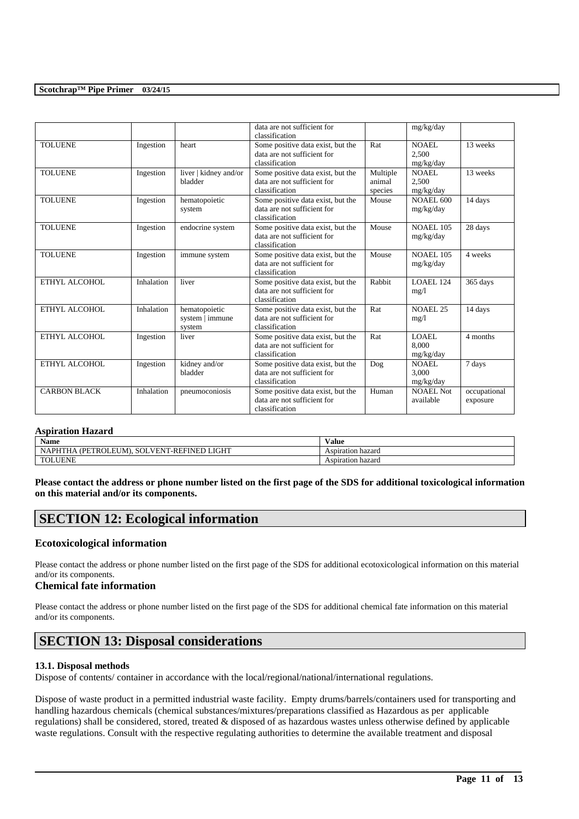|                     |            |                                            | data are not sufficient for<br>classification                                      |                               | mg/kg/day                          |                          |
|---------------------|------------|--------------------------------------------|------------------------------------------------------------------------------------|-------------------------------|------------------------------------|--------------------------|
| <b>TOLUENE</b>      | Ingestion  | heart                                      | Some positive data exist, but the<br>data are not sufficient for<br>classification | Rat                           | <b>NOAEL</b><br>2,500<br>mg/kg/day | 13 weeks                 |
| <b>TOLUENE</b>      | Ingestion  | liver   kidney and/or<br>bladder           | Some positive data exist, but the<br>data are not sufficient for<br>classification | Multiple<br>animal<br>species | <b>NOAEL</b><br>2,500<br>mg/kg/day | 13 weeks                 |
| <b>TOLUENE</b>      | Ingestion  | hematopoietic<br>system                    | Some positive data exist, but the<br>data are not sufficient for<br>classification | Mouse                         | NOAEL 600<br>mg/kg/day             | 14 days                  |
| <b>TOLUENE</b>      | Ingestion  | endocrine system                           | Some positive data exist, but the<br>data are not sufficient for<br>classification | Mouse                         | <b>NOAEL 105</b><br>mg/kg/day      | 28 days                  |
| <b>TOLUENE</b>      | Ingestion  | immune system                              | Some positive data exist, but the<br>data are not sufficient for<br>classification | Mouse                         | <b>NOAEL 105</b><br>mg/kg/day      | 4 weeks                  |
| ETHYL ALCOHOL       | Inhalation | liver                                      | Some positive data exist, but the<br>data are not sufficient for<br>classification | Rabbit                        | LOAEL 124<br>mg/1                  | 365 days                 |
| ETHYL ALCOHOL       | Inhalation | hematopoietic<br>system   immune<br>system | Some positive data exist, but the<br>data are not sufficient for<br>classification | Rat                           | <b>NOAEL 25</b><br>mg/1            | $\overline{14}$ days     |
| ETHYL ALCOHOL       | Ingestion  | liver                                      | Some positive data exist, but the<br>data are not sufficient for<br>classification | Rat                           | <b>LOAEL</b><br>8.000<br>mg/kg/day | 4 months                 |
| ETHYL ALCOHOL       | Ingestion  | kidney and/or<br>bladder                   | Some positive data exist, but the<br>data are not sufficient for<br>classification | Dog                           | NOAEL.<br>3.000<br>mg/kg/day       | 7 days                   |
| <b>CARBON BLACK</b> | Inhalation | pneumoconiosis                             | Some positive data exist, but the<br>data are not sufficient for<br>classification | Human                         | <b>NOAEL Not</b><br>available      | occupational<br>exposure |

#### **Aspiration Hazard**

| $\mathbf{r}$<br>Name                                                                                                                  | Value                |
|---------------------------------------------------------------------------------------------------------------------------------------|----------------------|
| LIGHT<br><b>PHTL</b><br>$\ldots$ FINED $^{\star}$<br>∕ DF⊤<br>. -RF <sup>t</sup><br>SOL<br>NL<br>N<br>ľR<br>OLEUM).<br>ĦΑ<br>'E.<br>` | hazard<br>Aspiration |
| <b>TOLUENE</b>                                                                                                                        | Aspiration hazard    |

**Please contact the address or phone number listed on the first page of the SDS for additional toxicological information on this material and/or its components.**

# **SECTION 12: Ecological information**

# **Ecotoxicological information**

Please contact the address or phone number listed on the first page of the SDS for additional ecotoxicological information on this material and/or its components.

# **Chemical fate information**

Please contact the address or phone number listed on the first page of the SDS for additional chemical fate information on this material and/or its components.

# **SECTION 13: Disposal considerations**

# **13.1. Disposal methods**

Dispose of contents/ container in accordance with the local/regional/national/international regulations.

Dispose of waste product in a permitted industrial waste facility. Empty drums/barrels/containers used for transporting and handling hazardous chemicals (chemical substances/mixtures/preparations classified as Hazardous as per applicable regulations) shall be considered, stored, treated & disposed of as hazardous wastes unless otherwise defined by applicable waste regulations. Consult with the respective regulating authorities to determine the available treatment and disposal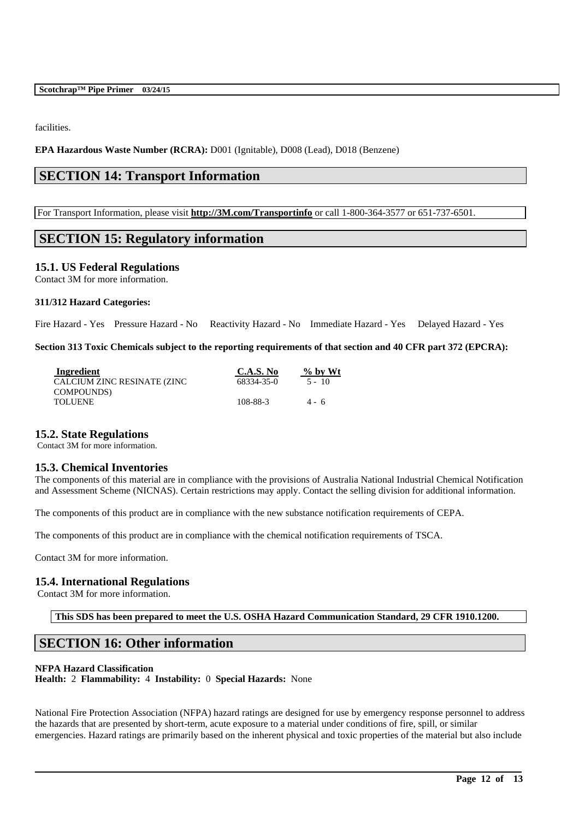facilities.

**EPA Hazardous Waste Number (RCRA):** D001 (Ignitable), D008 (Lead), D018 (Benzene)

# **SECTION 14: Transport Information**

For Transport Information, please visit **http://3M.com/Transportinfo** or call 1-800-364-3577 or 651-737-6501.

# **SECTION 15: Regulatory information**

# **15.1. US Federal Regulations**

Contact 3M for more information.

#### **311/312 Hazard Categories:**

Fire Hazard - Yes Pressure Hazard - No Reactivity Hazard - No Immediate Hazard - Yes Delayed Hazard - Yes

**Section 313 Toxic Chemicals subject to the reporting requirements of that section and 40 CFR part 372 (EPCRA):**

| Ingredient                  | C.A.S. No  | $\%$ by Wt |
|-----------------------------|------------|------------|
| CALCIUM ZINC RESINATE (ZINC | 68334-35-0 | $5 - 10$   |
| COMPOUNDS)                  |            |            |
| TOLUENE                     | 108-88-3   | $4 - 6$    |

# **15.2. State Regulations**

Contact 3M for more information.

# **15.3. Chemical Inventories**

The components of this material are in compliance with the provisions of Australia National Industrial Chemical Notification and Assessment Scheme (NICNAS). Certain restrictions may apply. Contact the selling division for additional information.

The components of this product are in compliance with the new substance notification requirements of CEPA.

The components of this product are in compliance with the chemical notification requirements of TSCA.

Contact 3M for more information.

# **15.4. International Regulations**

Contact 3M for more information.

**This SDS has been prepared to meet the U.S. OSHA Hazard Communication Standard, 29 CFR 1910.1200.**

# **SECTION 16: Other information**

# **NFPA Hazard Classification**

**Health:** 2 **Flammability:** 4 **Instability:** 0 **Special Hazards:** None

National Fire Protection Association (NFPA) hazard ratings are designed for use by emergency response personnel to address the hazards that are presented by short-term, acute exposure to a material under conditions of fire, spill, or similar emergencies. Hazard ratings are primarily based on the inherent physical and toxic properties of the material but also include